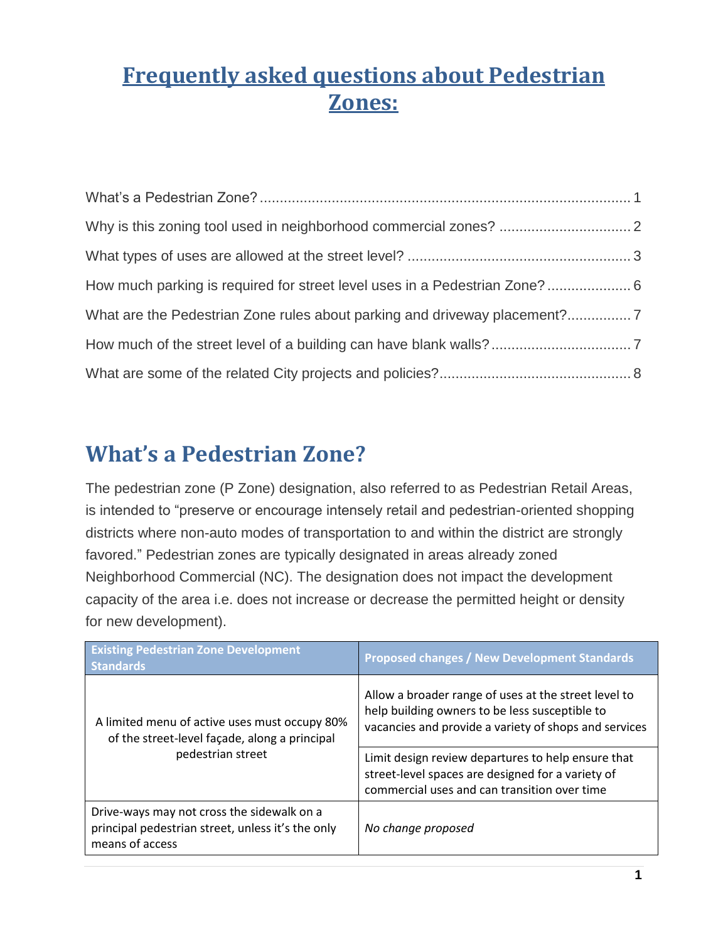# **Frequently asked questions about Pedestrian Zones:**

| How much parking is required for street level uses in a Pedestrian Zone?  6 |  |
|-----------------------------------------------------------------------------|--|
|                                                                             |  |
|                                                                             |  |
|                                                                             |  |

## <span id="page-0-0"></span>**What's a Pedestrian Zone?**

The pedestrian zone (P Zone) designation, also referred to as Pedestrian Retail Areas, is intended to "preserve or encourage intensely retail and pedestrian-oriented shopping districts where non-auto modes of transportation to and within the district are strongly favored." Pedestrian zones are typically designated in areas already zoned Neighborhood Commercial (NC). The designation does not impact the development capacity of the area i.e. does not increase or decrease the permitted height or density for new development).

| <b>Existing Pedestrian Zone Development</b><br><b>Standards</b>                                                    | <b>Proposed changes / New Development Standards</b>                                                                                                             |
|--------------------------------------------------------------------------------------------------------------------|-----------------------------------------------------------------------------------------------------------------------------------------------------------------|
| A limited menu of active uses must occupy 80%<br>of the street-level façade, along a principal                     | Allow a broader range of uses at the street level to<br>help building owners to be less susceptible to<br>vacancies and provide a variety of shops and services |
| pedestrian street                                                                                                  | Limit design review departures to help ensure that<br>street-level spaces are designed for a variety of<br>commercial uses and can transition over time         |
| Drive-ways may not cross the sidewalk on a<br>principal pedestrian street, unless it's the only<br>means of access | No change proposed                                                                                                                                              |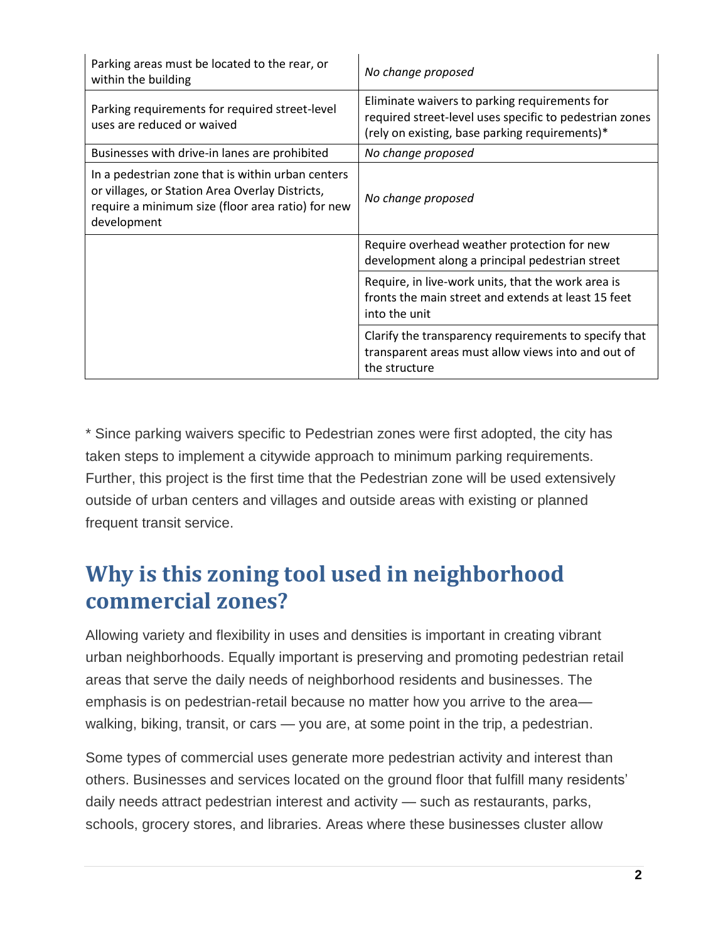| Parking areas must be located to the rear, or<br>within the building                                                                                                     | No change proposed                                                                                                                                         |
|--------------------------------------------------------------------------------------------------------------------------------------------------------------------------|------------------------------------------------------------------------------------------------------------------------------------------------------------|
| Parking requirements for required street-level<br>uses are reduced or waived                                                                                             | Eliminate waivers to parking requirements for<br>required street-level uses specific to pedestrian zones<br>(rely on existing, base parking requirements)* |
| Businesses with drive-in lanes are prohibited                                                                                                                            | No change proposed                                                                                                                                         |
| In a pedestrian zone that is within urban centers<br>or villages, or Station Area Overlay Districts,<br>require a minimum size (floor area ratio) for new<br>development | No change proposed                                                                                                                                         |
|                                                                                                                                                                          | Require overhead weather protection for new<br>development along a principal pedestrian street                                                             |
|                                                                                                                                                                          | Require, in live-work units, that the work area is<br>fronts the main street and extends at least 15 feet<br>into the unit                                 |
|                                                                                                                                                                          | Clarify the transparency requirements to specify that<br>transparent areas must allow views into and out of<br>the structure                               |

\* Since parking waivers specific to Pedestrian zones were first adopted, the city has taken steps to implement a citywide approach to minimum parking requirements. Further, this project is the first time that the Pedestrian zone will be used extensively outside of urban centers and villages and outside areas with existing or planned frequent transit service.

### <span id="page-1-0"></span>**Why is this zoning tool used in neighborhood commercial zones?**

Allowing variety and flexibility in uses and densities is important in creating vibrant urban neighborhoods. Equally important is preserving and promoting pedestrian retail areas that serve the daily needs of neighborhood residents and businesses. The emphasis is on pedestrian-retail because no matter how you arrive to the area walking, biking, transit, or cars — you are, at some point in the trip, a pedestrian.

Some types of commercial uses generate more pedestrian activity and interest than others. Businesses and services located on the ground floor that fulfill many residents' daily needs attract pedestrian interest and activity — such as restaurants, parks, schools, grocery stores, and libraries. Areas where these businesses cluster allow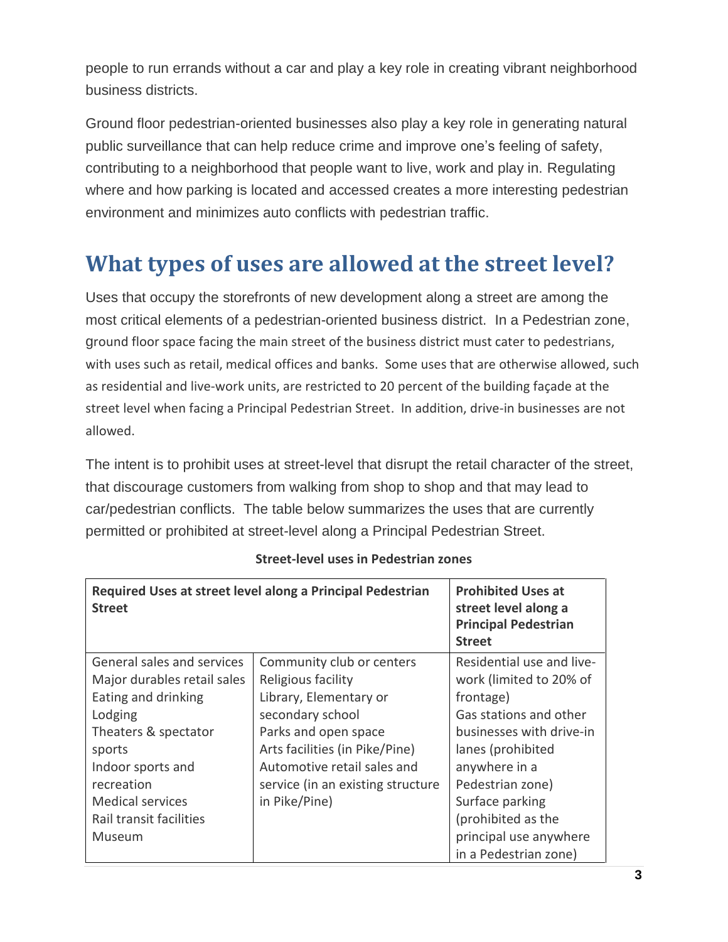people to run errands without a car and play a key role in creating vibrant neighborhood business districts.

Ground floor pedestrian-oriented businesses also play a key role in generating natural public surveillance that can help reduce crime and improve one's feeling of safety, contributing to a neighborhood that people want to live, work and play in. Regulating where and how parking is located and accessed creates a more interesting pedestrian environment and minimizes auto conflicts with pedestrian traffic.

## <span id="page-2-0"></span>**What types of uses are allowed at the street level?**

Uses that occupy the storefronts of new development along a street are among the most critical elements of a pedestrian-oriented business district. In a Pedestrian zone, ground floor space facing the main street of the business district must cater to pedestrians, with uses such as retail, medical offices and banks. Some uses that are otherwise allowed, such as residential and live-work units, are restricted to 20 percent of the building façade at the street level when facing a Principal Pedestrian Street. In addition, drive-in businesses are not allowed.

The intent is to prohibit uses at street-level that disrupt the retail character of the street, that discourage customers from walking from shop to shop and that may lead to car/pedestrian conflicts. The table below summarizes the uses that are currently permitted or prohibited at street-level along a Principal Pedestrian Street.

| <b>Street</b>               | Required Uses at street level along a Principal Pedestrian | <b>Prohibited Uses at</b><br>street level along a<br><b>Principal Pedestrian</b><br><b>Street</b> |
|-----------------------------|------------------------------------------------------------|---------------------------------------------------------------------------------------------------|
| General sales and services  | Community club or centers                                  | Residential use and live-                                                                         |
| Major durables retail sales | Religious facility                                         | work (limited to 20% of                                                                           |
| Eating and drinking         | Library, Elementary or                                     | frontage)                                                                                         |
| Lodging                     | secondary school                                           | Gas stations and other                                                                            |
| Theaters & spectator        | Parks and open space                                       | businesses with drive-in                                                                          |
| sports                      | Arts facilities (in Pike/Pine)                             | lanes (prohibited                                                                                 |
| Indoor sports and           | Automotive retail sales and                                | anywhere in a                                                                                     |
| recreation                  | service (in an existing structure                          | Pedestrian zone)                                                                                  |
| <b>Medical services</b>     | in Pike/Pine)                                              | Surface parking                                                                                   |
| Rail transit facilities     |                                                            | (prohibited as the                                                                                |
| Museum                      |                                                            | principal use anywhere                                                                            |
|                             |                                                            | in a Pedestrian zone)                                                                             |

#### **Street-level uses in Pedestrian zones**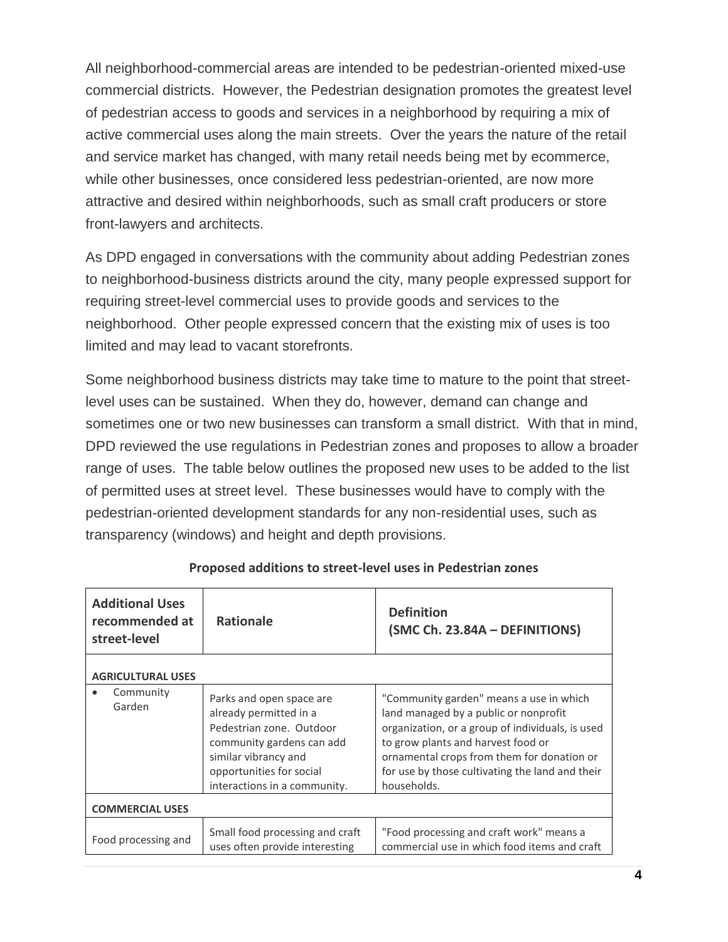All neighborhood-commercial areas are intended to be pedestrian-oriented mixed-use commercial districts. However, the Pedestrian designation promotes the greatest level of pedestrian access to goods and services in a neighborhood by requiring a mix of active commercial uses along the main streets. Over the years the nature of the retail and service market has changed, with many retail needs being met by ecommerce, while other businesses, once considered less pedestrian-oriented, are now more attractive and desired within neighborhoods, such as small craft producers or store front-lawyers and architects.

As DPD engaged in conversations with the community about adding Pedestrian zones to neighborhood-business districts around the city, many people expressed support for requiring street-level commercial uses to provide goods and services to the neighborhood. Other people expressed concern that the existing mix of uses is too limited and may lead to vacant storefronts.

Some neighborhood business districts may take time to mature to the point that streetlevel uses can be sustained. When they do, however, demand can change and sometimes one or two new businesses can transform a small district. With that in mind, DPD reviewed the use regulations in Pedestrian zones and proposes to allow a broader range of uses. The table below outlines the proposed new uses to be added to the list of permitted uses at street level. These businesses would have to comply with the pedestrian-oriented development standards for any non-residential uses, such as transparency (windows) and height and depth provisions.

| <b>Additional Uses</b><br>recommended at<br>street-level | <b>Rationale</b>                                                                                                                                                                                | <b>Definition</b><br>(SMC Ch. 23.84A - DEFINITIONS)                                                                                                                                                                                                                                        |
|----------------------------------------------------------|-------------------------------------------------------------------------------------------------------------------------------------------------------------------------------------------------|--------------------------------------------------------------------------------------------------------------------------------------------------------------------------------------------------------------------------------------------------------------------------------------------|
| <b>AGRICULTURAL USES</b>                                 |                                                                                                                                                                                                 |                                                                                                                                                                                                                                                                                            |
| Community<br>Garden                                      | Parks and open space are<br>already permitted in a<br>Pedestrian zone. Outdoor<br>community gardens can add<br>similar vibrancy and<br>opportunities for social<br>interactions in a community. | "Community garden" means a use in which<br>land managed by a public or nonprofit<br>organization, or a group of individuals, is used<br>to grow plants and harvest food or<br>ornamental crops from them for donation or<br>for use by those cultivating the land and their<br>households. |
| <b>COMMERCIAL USES</b>                                   |                                                                                                                                                                                                 |                                                                                                                                                                                                                                                                                            |
| Food processing and                                      | Small food processing and craft<br>uses often provide interesting                                                                                                                               | "Food processing and craft work" means a<br>commercial use in which food items and craft                                                                                                                                                                                                   |

| Proposed additions to street-level uses in Pedestrian zones |
|-------------------------------------------------------------|
|-------------------------------------------------------------|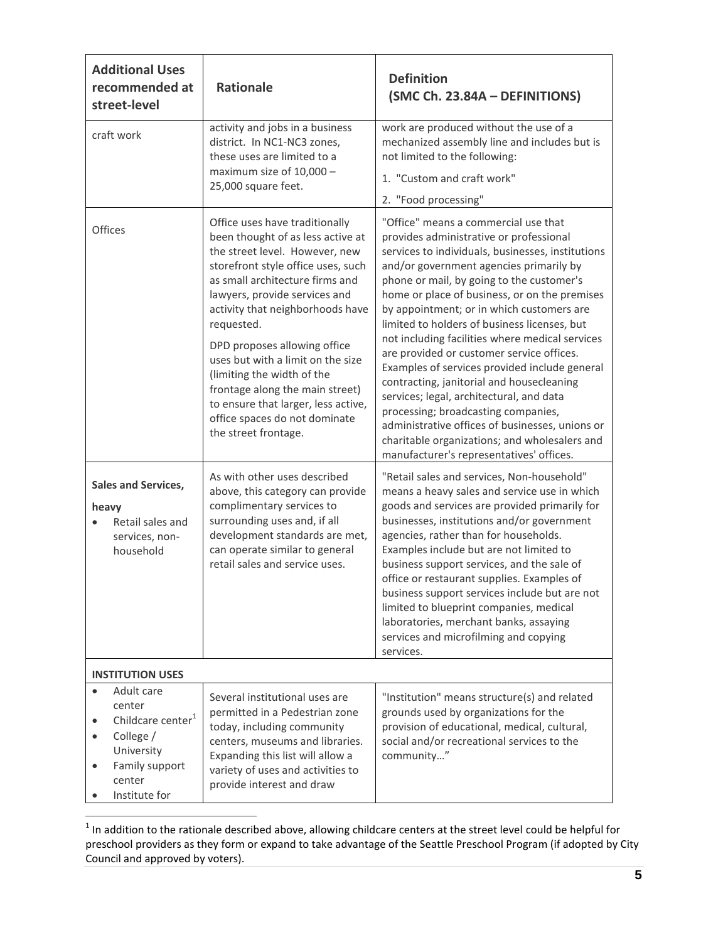| <b>Additional Uses</b><br>recommended at<br>street-level                                                                                                             | <b>Rationale</b>                                                                                                                                                                                                                                                                                                                                                                                                                                                                                        | <b>Definition</b><br>(SMC Ch. 23.84A - DEFINITIONS)                                                                                                                                                                                                                                                                                                                                                                                                                                                                                                                                                                                                                                                                                                                                                         |
|----------------------------------------------------------------------------------------------------------------------------------------------------------------------|---------------------------------------------------------------------------------------------------------------------------------------------------------------------------------------------------------------------------------------------------------------------------------------------------------------------------------------------------------------------------------------------------------------------------------------------------------------------------------------------------------|-------------------------------------------------------------------------------------------------------------------------------------------------------------------------------------------------------------------------------------------------------------------------------------------------------------------------------------------------------------------------------------------------------------------------------------------------------------------------------------------------------------------------------------------------------------------------------------------------------------------------------------------------------------------------------------------------------------------------------------------------------------------------------------------------------------|
| craft work                                                                                                                                                           | activity and jobs in a business<br>district. In NC1-NC3 zones,<br>these uses are limited to a<br>maximum size of 10,000 -<br>25,000 square feet.                                                                                                                                                                                                                                                                                                                                                        | work are produced without the use of a<br>mechanized assembly line and includes but is<br>not limited to the following:<br>1. "Custom and craft work"<br>2. "Food processing"                                                                                                                                                                                                                                                                                                                                                                                                                                                                                                                                                                                                                               |
| Offices                                                                                                                                                              | Office uses have traditionally<br>been thought of as less active at<br>the street level. However, new<br>storefront style office uses, such<br>as small architecture firms and<br>lawyers, provide services and<br>activity that neighborhoods have<br>requested.<br>DPD proposes allowing office<br>uses but with a limit on the size<br>(limiting the width of the<br>frontage along the main street)<br>to ensure that larger, less active,<br>office spaces do not dominate<br>the street frontage. | "Office" means a commercial use that<br>provides administrative or professional<br>services to individuals, businesses, institutions<br>and/or government agencies primarily by<br>phone or mail, by going to the customer's<br>home or place of business, or on the premises<br>by appointment; or in which customers are<br>limited to holders of business licenses, but<br>not including facilities where medical services<br>are provided or customer service offices.<br>Examples of services provided include general<br>contracting, janitorial and housecleaning<br>services; legal, architectural, and data<br>processing; broadcasting companies,<br>administrative offices of businesses, unions or<br>charitable organizations; and wholesalers and<br>manufacturer's representatives' offices. |
| <b>Sales and Services,</b><br>heavy<br>Retail sales and<br>services, non-<br>household                                                                               | As with other uses described<br>above, this category can provide<br>complimentary services to<br>surrounding uses and, if all<br>development standards are met,<br>can operate similar to general<br>retail sales and service uses.                                                                                                                                                                                                                                                                     | "Retail sales and services, Non-household"<br>means a heavy sales and service use in which<br>goods and services are provided primarily for<br>businesses, institutions and/or government<br>agencies, rather than for households.<br>Examples include but are not limited to<br>business support services, and the sale of<br>office or restaurant supplies. Examples of<br>business support services include but are not<br>limited to blueprint companies, medical<br>laboratories, merchant banks, assaying<br>services and microfilming and copying<br>services.                                                                                                                                                                                                                                       |
| <b>INSTITUTION USES</b>                                                                                                                                              |                                                                                                                                                                                                                                                                                                                                                                                                                                                                                                         |                                                                                                                                                                                                                                                                                                                                                                                                                                                                                                                                                                                                                                                                                                                                                                                                             |
| Adult care<br>$\bullet$<br>center<br>Childcare center <sup>1</sup><br>$\bullet$<br>College /<br>University<br>Family support<br>$\bullet$<br>center<br>Institute for | Several institutional uses are<br>permitted in a Pedestrian zone<br>today, including community<br>centers, museums and libraries.<br>Expanding this list will allow a<br>variety of uses and activities to<br>provide interest and draw                                                                                                                                                                                                                                                                 | "Institution" means structure(s) and related<br>grounds used by organizations for the<br>provision of educational, medical, cultural,<br>social and/or recreational services to the<br>community"                                                                                                                                                                                                                                                                                                                                                                                                                                                                                                                                                                                                           |

 1 In addition to the rationale described above, allowing childcare centers at the street level could be helpful for preschool providers as they form or expand to take advantage of the Seattle Preschool Program (if adopted by City Council and approved by voters).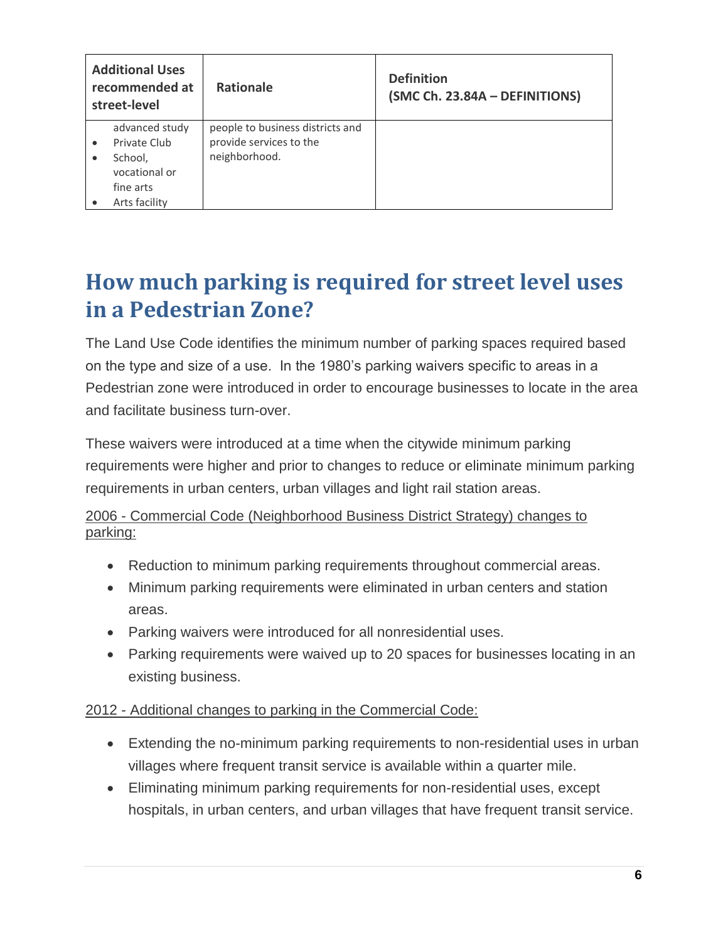| <b>Additional Uses</b><br>recommended at<br>street-level | <b>Rationale</b>                                            | <b>Definition</b><br>(SMC Ch. 23.84A - DEFINITIONS) |
|----------------------------------------------------------|-------------------------------------------------------------|-----------------------------------------------------|
| advanced study<br>Private Club                           | people to business districts and<br>provide services to the |                                                     |
| School,<br>vocational or<br>fine arts<br>Arts facility   | neighborhood.                                               |                                                     |

## <span id="page-5-0"></span>**How much parking is required for street level uses in a Pedestrian Zone?**

The Land Use Code identifies the minimum number of parking spaces required based on the type and size of a use. In the 1980's parking waivers specific to areas in a Pedestrian zone were introduced in order to encourage businesses to locate in the area and facilitate business turn-over.

These waivers were introduced at a time when the citywide minimum parking requirements were higher and prior to changes to reduce or eliminate minimum parking requirements in urban centers, urban villages and light rail station areas.

#### 2006 - Commercial Code (Neighborhood Business District Strategy) changes to parking:

- Reduction to minimum parking requirements throughout commercial areas.
- Minimum parking requirements were eliminated in urban centers and station areas.
- Parking waivers were introduced for all nonresidential uses.
- Parking requirements were waived up to 20 spaces for businesses locating in an existing business.

### 2012 - Additional changes to parking in the Commercial Code:

- Extending the no-minimum parking requirements to non-residential uses in urban villages where frequent transit service is available within a quarter mile.
- Eliminating minimum parking requirements for non-residential uses, except hospitals, in urban centers, and urban villages that have frequent transit service.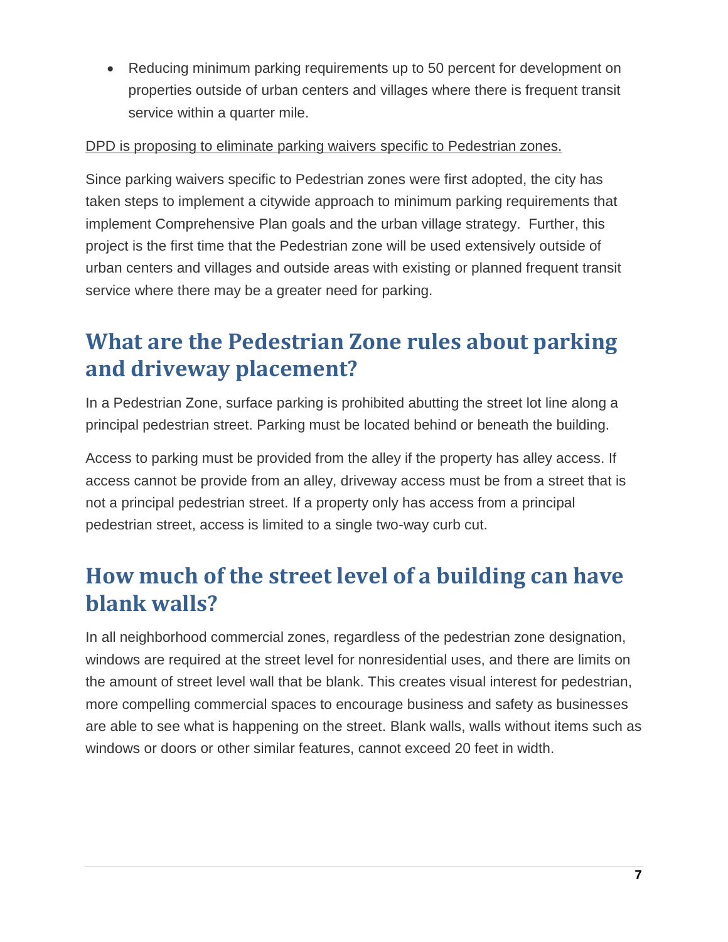Reducing minimum parking requirements up to 50 percent for development on properties outside of urban centers and villages where there is frequent transit service within a quarter mile.

#### DPD is proposing to eliminate parking waivers specific to Pedestrian zones.

Since parking waivers specific to Pedestrian zones were first adopted, the city has taken steps to implement a citywide approach to minimum parking requirements that implement Comprehensive Plan goals and the urban village strategy. Further, this project is the first time that the Pedestrian zone will be used extensively outside of urban centers and villages and outside areas with existing or planned frequent transit service where there may be a greater need for parking.

## <span id="page-6-0"></span>**What are the Pedestrian Zone rules about parking and driveway placement?**

In a Pedestrian Zone, surface parking is prohibited abutting the street lot line along a principal pedestrian street. Parking must be located behind or beneath the building.

Access to parking must be provided from the alley if the property has alley access. If access cannot be provide from an alley, driveway access must be from a street that is not a principal pedestrian street. If a property only has access from a principal pedestrian street, access is limited to a single two-way curb cut.

## <span id="page-6-1"></span>**How much of the street level of a building can have blank walls?**

In all neighborhood commercial zones, regardless of the pedestrian zone designation, windows are required at the street level for nonresidential uses, and there are limits on the amount of street level wall that be blank. This creates visual interest for pedestrian, more compelling commercial spaces to encourage business and safety as businesses are able to see what is happening on the street. Blank walls, walls without items such as windows or doors or other similar features, cannot exceed 20 feet in width.